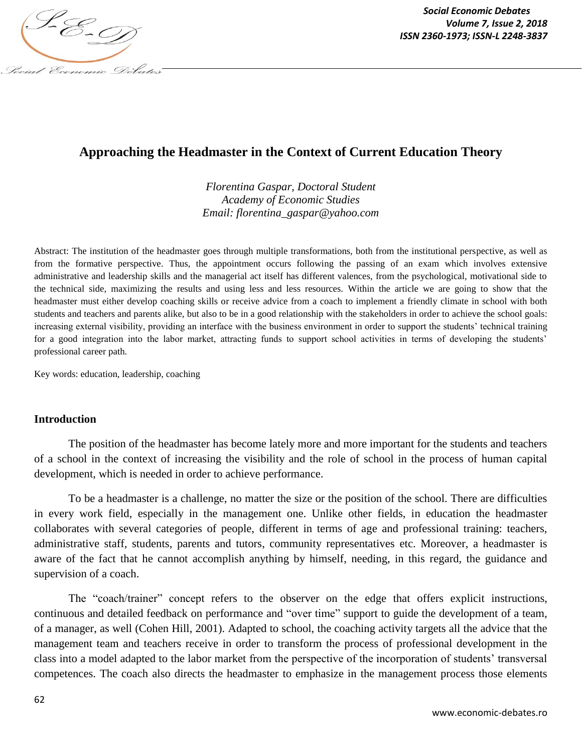

# **Approaching the Headmaster in the Context of Current Education Theory**

*Florentina Gaspar, Doctoral Student Academy of Economic Studies Email: florentina\_gaspar@yahoo.com*

Abstract: The institution of the headmaster goes through multiple transformations, both from the institutional perspective, as well as from the formative perspective. Thus, the appointment occurs following the passing of an exam which involves extensive administrative and leadership skills and the managerial act itself has different valences, from the psychological, motivational side to the technical side, maximizing the results and using less and less resources. Within the article we are going to show that the headmaster must either develop coaching skills or receive advice from a coach to implement a friendly climate in school with both students and teachers and parents alike, but also to be in a good relationship with the stakeholders in order to achieve the school goals: increasing external visibility, providing an interface with the business environment in order to support the students' technical training for a good integration into the labor market, attracting funds to support school activities in terms of developing the students' professional career path.

Key words: education, leadership, coaching

#### **Introduction**

The position of the headmaster has become lately more and more important for the students and teachers of a school in the context of increasing the visibility and the role of school in the process of human capital development, which is needed in order to achieve performance.

To be a headmaster is a challenge, no matter the size or the position of the school. There are difficulties in every work field, especially in the management one. Unlike other fields, in education the headmaster collaborates with several categories of people, different in terms of age and professional training: teachers, administrative staff, students, parents and tutors, community representatives etc. Moreover, a headmaster is aware of the fact that he cannot accomplish anything by himself, needing, in this regard, the guidance and supervision of a coach.

The "coach/trainer" concept refers to the observer on the edge that offers explicit instructions, continuous and detailed feedback on performance and "over time" support to guide the development of a team, of a manager, as well (Cohen Hill, 2001). Adapted to school, the coaching activity targets all the advice that the management team and teachers receive in order to transform the process of professional development in the class into a model adapted to the labor market from the perspective of the incorporation of students' transversal competences. The coach also directs the headmaster to emphasize in the management process those elements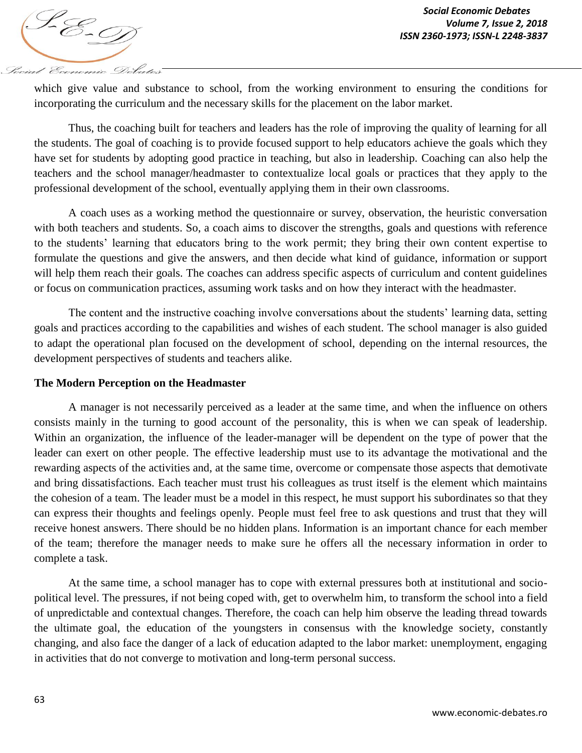

which give value and substance to school, from the working environment to ensuring the conditions for incorporating the curriculum and the necessary skills for the placement on the labor market.

Thus, the coaching built for teachers and leaders has the role of improving the quality of learning for all the students. The goal of coaching is to provide focused support to help educators achieve the goals which they have set for students by adopting good practice in teaching, but also in leadership. Coaching can also help the teachers and the school manager/headmaster to contextualize local goals or practices that they apply to the professional development of the school, eventually applying them in their own classrooms.

A coach uses as a working method the questionnaire or survey, observation, the heuristic conversation with both teachers and students. So, a coach aims to discover the strengths, goals and questions with reference to the students' learning that educators bring to the work permit; they bring their own content expertise to formulate the questions and give the answers, and then decide what kind of guidance, information or support will help them reach their goals. The coaches can address specific aspects of curriculum and content guidelines or focus on communication practices, assuming work tasks and on how they interact with the headmaster.

The content and the instructive coaching involve conversations about the students' learning data, setting goals and practices according to the capabilities and wishes of each student. The school manager is also guided to adapt the operational plan focused on the development of school, depending on the internal resources, the development perspectives of students and teachers alike.

### **The Modern Perception on the Headmaster**

A manager is not necessarily perceived as a leader at the same time, and when the influence on others consists mainly in the turning to good account of the personality, this is when we can speak of leadership. Within an organization, the influence of the leader-manager will be dependent on the type of power that the leader can exert on other people. The effective leadership must use to its advantage the motivational and the rewarding aspects of the activities and, at the same time, overcome or compensate those aspects that demotivate and bring dissatisfactions. Each teacher must trust his colleagues as trust itself is the element which maintains the cohesion of a team. The leader must be a model in this respect, he must support his subordinates so that they can express their thoughts and feelings openly. People must feel free to ask questions and trust that they will receive honest answers. There should be no hidden plans. Information is an important chance for each member of the team; therefore the manager needs to make sure he offers all the necessary information in order to complete a task.

At the same time, a school manager has to cope with external pressures both at institutional and sociopolitical level. The pressures, if not being coped with, get to overwhelm him, to transform the school into a field of unpredictable and contextual changes. Therefore, the coach can help him observe the leading thread towards the ultimate goal, the education of the youngsters in consensus with the knowledge society, constantly changing, and also face the danger of a lack of education adapted to the labor market: unemployment, engaging in activities that do not converge to motivation and long-term personal success.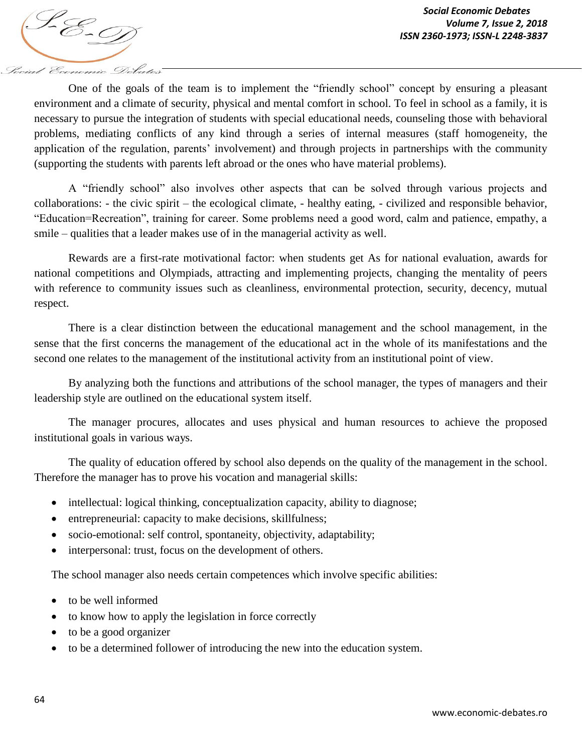One of the goals of the team is to implement the "friendly school" concept by ensuring a pleasant environment and a climate of security, physical and mental comfort in school. To feel in school as a family, it is necessary to pursue the integration of students with special educational needs, counseling those with behavioral problems, mediating conflicts of any kind through a series of internal measures (staff homogeneity, the application of the regulation, parents' involvement) and through projects in partnerships with the community (supporting the students with parents left abroad or the ones who have material problems).

A "friendly school" also involves other aspects that can be solved through various projects and collaborations: - the civic spirit – the ecological climate, - healthy eating, - civilized and responsible behavior, "Education=Recreation", training for career. Some problems need a good word, calm and patience, empathy, a smile – qualities that a leader makes use of in the managerial activity as well.

Rewards are a first-rate motivational factor: when students get As for national evaluation, awards for national competitions and Olympiads, attracting and implementing projects, changing the mentality of peers with reference to community issues such as cleanliness, environmental protection, security, decency, mutual respect.

There is a clear distinction between the educational management and the school management, in the sense that the first concerns the management of the educational act in the whole of its manifestations and the second one relates to the management of the institutional activity from an institutional point of view.

By analyzing both the functions and attributions of the school manager, the types of managers and their leadership style are outlined on the educational system itself.

The manager procures, allocates and uses physical and human resources to achieve the proposed institutional goals in various ways.

The quality of education offered by school also depends on the quality of the management in the school. Therefore the manager has to prove his vocation and managerial skills:

- intellectual: logical thinking, conceptualization capacity, ability to diagnose;
- entrepreneurial: capacity to make decisions, skillfulness;
- socio-emotional: self control, spontaneity, objectivity, adaptability;
- interpersonal: trust, focus on the development of others.

The school manager also needs certain competences which involve specific abilities:

• to be well informed

Social Economic Debates

- to know how to apply the legislation in force correctly
- to be a good organizer
- to be a determined follower of introducing the new into the education system.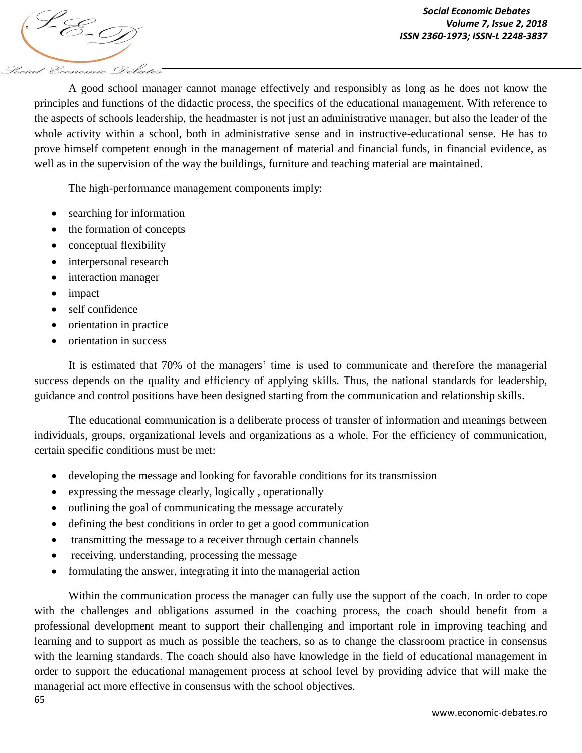A good school manager cannot manage effectively and responsibly as long as he does not know the principles and functions of the didactic process, the specifics of the educational management. With reference to the aspects of schools leadership, the headmaster is not just an administrative manager, but also the leader of the whole activity within a school, both in administrative sense and in instructive-educational sense. He has to prove himself competent enough in the management of material and financial funds, in financial evidence, as well as in the supervision of the way the buildings, furniture and teaching material are maintained.

The high-performance management components imply:

- searching for information
- the formation of concepts
- conceptual flexibility
- interpersonal research
- interaction manager
- impact

Social Economic Debates

- self confidence
- orientation in practice
- orientation in success

It is estimated that 70% of the managers' time is used to communicate and therefore the managerial success depends on the quality and efficiency of applying skills. Thus, the national standards for leadership, guidance and control positions have been designed starting from the communication and relationship skills.

The educational communication is a deliberate process of transfer of information and meanings between individuals, groups, organizational levels and organizations as a whole. For the efficiency of communication, certain specific conditions must be met:

- developing the message and looking for favorable conditions for its transmission
- expressing the message clearly, logically , operationally
- outlining the goal of communicating the message accurately
- defining the best conditions in order to get a good communication
- transmitting the message to a receiver through certain channels
- receiving, understanding, processing the message
- formulating the answer, integrating it into the managerial action

65 Within the communication process the manager can fully use the support of the coach. In order to cope with the challenges and obligations assumed in the coaching process, the coach should benefit from a professional development meant to support their challenging and important role in improving teaching and learning and to support as much as possible the teachers, so as to change the classroom practice in consensus with the learning standards. The coach should also have knowledge in the field of educational management in order to support the educational management process at school level by providing advice that will make the managerial act more effective in consensus with the school objectives.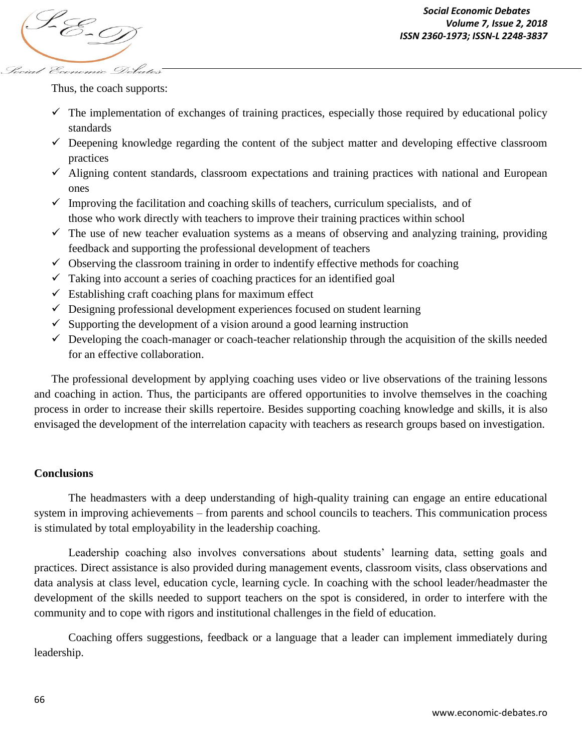

Thus, the coach supports:

- $\checkmark$  The implementation of exchanges of training practices, especially those required by educational policy standards
- $\checkmark$  Deepening knowledge regarding the content of the subject matter and developing effective classroom practices
- $\checkmark$  Aligning content standards, classroom expectations and training practices with national and European ones
- $\checkmark$  Improving the facilitation and coaching skills of teachers, curriculum specialists, and of those who work directly with teachers to improve their training practices within school
- $\checkmark$  The use of new teacher evaluation systems as a means of observing and analyzing training, providing feedback and supporting the professional development of teachers
- $\checkmark$  Observing the classroom training in order to indentify effective methods for coaching
- $\checkmark$  Taking into account a series of coaching practices for an identified goal
- $\checkmark$  Establishing craft coaching plans for maximum effect
- $\checkmark$  Designing professional development experiences focused on student learning
- $\checkmark$  Supporting the development of a vision around a good learning instruction
- $\checkmark$  Developing the coach-manager or coach-teacher relationship through the acquisition of the skills needed for an effective collaboration.

The professional development by applying coaching uses video or live observations of the training lessons and coaching in action. Thus, the participants are offered opportunities to involve themselves in the coaching process in order to increase their skills repertoire. Besides supporting coaching knowledge and skills, it is also envisaged the development of the interrelation capacity with teachers as research groups based on investigation.

## **Conclusions**

The headmasters with a deep understanding of high-quality training can engage an entire educational system in improving achievements – from parents and school councils to teachers. This communication process is stimulated by total employability in the leadership coaching.

Leadership coaching also involves conversations about students' learning data, setting goals and practices. Direct assistance is also provided during management events, classroom visits, class observations and data analysis at class level, education cycle, learning cycle. In coaching with the school leader/headmaster the development of the skills needed to support teachers on the spot is considered, in order to interfere with the community and to cope with rigors and institutional challenges in the field of education.

Coaching offers suggestions, feedback or a language that a leader can implement immediately during leadership.